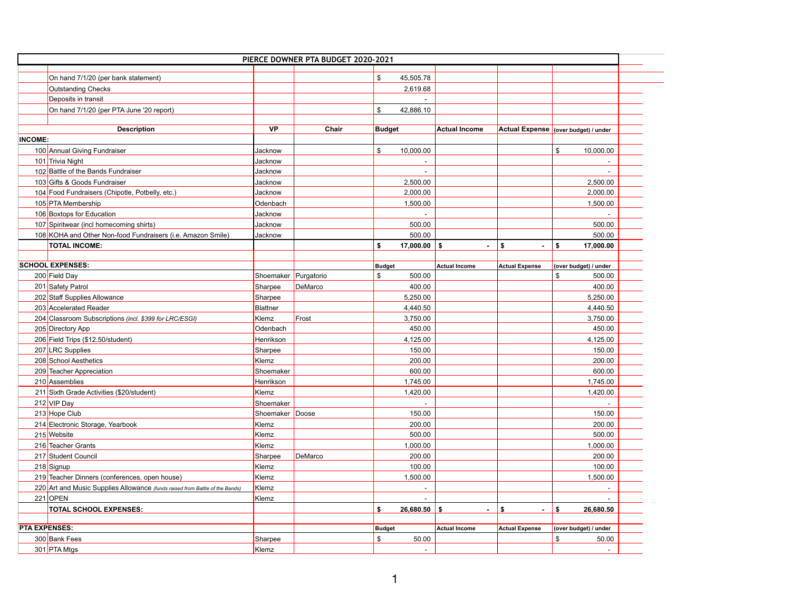|                      |                                                                              |                      | PIERCE DOWNER PTA BUDGET 2020-2021 |               |           |                      |                                      |                                        |  |
|----------------------|------------------------------------------------------------------------------|----------------------|------------------------------------|---------------|-----------|----------------------|--------------------------------------|----------------------------------------|--|
|                      | On hand 7/1/20 (per bank statement)                                          |                      |                                    | $\mathcal{S}$ | 45,505.78 |                      |                                      |                                        |  |
|                      | <b>Outstanding Checks</b>                                                    |                      |                                    |               | 2,619.68  |                      |                                      |                                        |  |
|                      | Deposits in transit                                                          |                      |                                    |               |           |                      |                                      |                                        |  |
|                      | On hand 7/1/20 (per PTA June '20 report)                                     |                      |                                    | $\mathcal{S}$ | 42,886.10 |                      |                                      |                                        |  |
|                      |                                                                              |                      |                                    |               |           |                      |                                      |                                        |  |
|                      | <b>Description</b>                                                           | <b>VP</b>            | Chair                              | Budget        |           | <b>Actual Income</b> |                                      | Actual Expense  (over budget) / under  |  |
| <b>INCOME:</b>       |                                                                              |                      |                                    |               |           |                      |                                      |                                        |  |
|                      | 100 Annual Giving Fundraiser                                                 | Jacknow              |                                    | $\mathcal{S}$ | 10,000.00 |                      |                                      | $\boldsymbol{\mathsf{S}}$<br>10,000.00 |  |
|                      | 101 Trivia Night                                                             | Jacknow              |                                    |               |           |                      |                                      |                                        |  |
|                      | 102 Battle of the Bands Fundraiser                                           | Jacknow              |                                    |               |           |                      |                                      |                                        |  |
|                      | 103 Gifts & Goods Fundraiser                                                 | Jacknow              |                                    |               | 2,500.00  |                      |                                      | 2,500.00                               |  |
|                      | 104 Food Fundraisers (Chipotle, Potbelly, etc.)                              | Jacknow              |                                    |               | 2,000.00  |                      |                                      | 2,000.00                               |  |
|                      | 105 PTA Membership                                                           | Odenbach             |                                    |               | 1,500.00  |                      |                                      | 1,500.00                               |  |
|                      | 106 Boxtops for Education                                                    | Jacknow              |                                    |               |           |                      |                                      |                                        |  |
|                      | 107 Spiritwear (incl homecoming shirts)                                      | Jacknow              |                                    |               | 500.00    |                      |                                      | 500.00                                 |  |
|                      | 108 KOHA and Other Non-food Fundraisers (i.e. Amazon Smile)                  | Jacknow              |                                    |               | 500.00    |                      |                                      | 500.00                                 |  |
|                      | <b>TOTAL INCOME:</b>                                                         |                      |                                    |               | 17,000.00 | -\$                  | $\mathbf{f}$<br>$\blacksquare$       | 17,000.00<br>\$                        |  |
|                      |                                                                              |                      |                                    |               |           |                      |                                      |                                        |  |
|                      | <b>SCHOOL EXPENSES:</b>                                                      |                      |                                    | <b>Budget</b> |           | <b>Actual Income</b> | <b>Actual Expense</b>                | (over budget) / under                  |  |
|                      | 200 Field Day                                                                | Shoemaker Purgatorio |                                    | \$            | 500.00    |                      |                                      | $\mathfrak{F}$<br>500.00               |  |
|                      | 201 Safety Patrol                                                            | Sharpee              | DeMarco                            |               | 400.00    |                      |                                      | 400.00                                 |  |
|                      | 202 Staff Supplies Allowance                                                 | Sharpee              |                                    |               | 5,250.00  |                      |                                      | 5,250.00                               |  |
|                      | 203 Accelerated Reader                                                       | Blattner             |                                    |               | 4,440.50  |                      |                                      | 4,440.50                               |  |
|                      | 204 Classroom Subscriptions (incl. \$399 for LRC/ESGI)                       | Klemz                | Frost                              |               | 3,750.00  |                      |                                      | 3,750.00                               |  |
|                      | 205 Directory App                                                            | Odenbach             |                                    |               | 450.00    |                      |                                      | 450.00                                 |  |
|                      | 206 Field Trips (\$12.50/student)                                            | Henrikson            |                                    |               | 4,125.00  |                      |                                      | 4,125.00                               |  |
|                      | 207 LRC Supplies                                                             | Sharpee              |                                    |               | 150.00    |                      |                                      | 150.00                                 |  |
|                      | 208 School Aesthetics                                                        | Klemz                |                                    |               | 200.00    |                      |                                      | 200.00                                 |  |
|                      | 209 Teacher Appreciation                                                     | Shoemaker            |                                    |               | 600.00    |                      |                                      | 600.00                                 |  |
|                      | 210 Assemblies                                                               | Henrikson            |                                    |               | 1,745.00  |                      |                                      | 1,745.00                               |  |
|                      | 211 Sixth Grade Activities (\$20/student)                                    | Klemz                |                                    |               | 1,420.00  |                      |                                      | 1,420.00                               |  |
|                      | 212 VIP Day                                                                  | Shoemaker            |                                    |               |           |                      |                                      |                                        |  |
|                      | 213 Hope Club                                                                | Shoemaker Doose      |                                    |               | 150.00    |                      |                                      | 150.00                                 |  |
|                      | 214 Electronic Storage, Yearbook                                             | Klemz                |                                    |               | 200.00    |                      |                                      | 200.00                                 |  |
|                      | 215 Website                                                                  | Klemz                |                                    |               | 500.00    |                      |                                      | 500.00                                 |  |
|                      | 216 Teacher Grants                                                           | Klemz                |                                    |               | 1,000.00  |                      |                                      | 1,000.00                               |  |
|                      | 217 Student Council                                                          | Sharpee              | DeMarco                            |               | 200.00    |                      |                                      | 200.00                                 |  |
|                      | 218 Signup                                                                   | Klemz                |                                    |               | 100.00    |                      |                                      | 100.00                                 |  |
|                      | 219 Teacher Dinners (conferences, open house)                                | Klemz                |                                    |               | 1,500.00  |                      |                                      | 1,500.00                               |  |
|                      | 220 Art and Music Supplies Allowance (funds raised from Battle of the Bands) | Klemz                |                                    |               |           |                      |                                      |                                        |  |
|                      | $221$ OPEN                                                                   | Klemz                |                                    |               |           |                      |                                      |                                        |  |
|                      | <b>TOTAL SCHOOL EXPENSES:</b>                                                |                      |                                    |               | 26,680.50 | -\$<br>$\sim$        | $\mathbf{\hat{z}}$<br>$\blacksquare$ | \$<br>26,680.50                        |  |
|                      |                                                                              |                      |                                    |               |           |                      |                                      |                                        |  |
| <b>PTA EXPENSES:</b> |                                                                              |                      |                                    | <b>Budget</b> |           | <b>Actual Income</b> | <b>Actual Expense</b>                | (over budget) / under                  |  |
|                      | 300 Bank Fees                                                                | Sharpee              |                                    | \$            | 50.00     |                      |                                      | 50.00<br>$\boldsymbol{\mathcal{L}}$    |  |
|                      | 301 PTA Mtgs                                                                 | Klemz                |                                    |               |           |                      |                                      |                                        |  |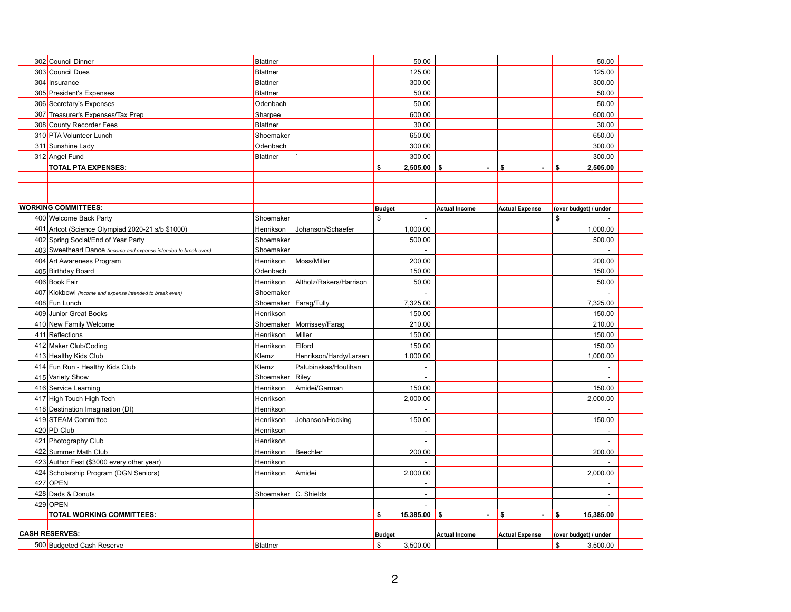| 302 Council Dinner                                               | Blattner               |                         | 50.00                      |                      |                       |                           | 50.00                    |  |
|------------------------------------------------------------------|------------------------|-------------------------|----------------------------|----------------------|-----------------------|---------------------------|--------------------------|--|
| 303 Council Dues                                                 | Blattner               |                         | 125.00                     |                      |                       |                           | 125.00                   |  |
| 304 Insurance                                                    | Blattner               |                         | 300.00                     |                      |                       |                           | 300.00                   |  |
| 305 President's Expenses                                         | Blattner               |                         | 50.00                      |                      |                       |                           | 50.00                    |  |
| 306 Secretary's Expenses                                         | Odenbach               |                         | 50.00                      |                      |                       |                           | 50.00                    |  |
| 307 Treasurer's Expenses/Tax Prep                                | Sharpee                |                         | 600.00                     |                      |                       |                           | 600.00                   |  |
| 308 County Recorder Fees                                         | Blattner               |                         | 30.00                      |                      |                       |                           | 30.00                    |  |
| 310 PTA Volunteer Lunch                                          | Shoemaker              |                         | 650.00                     |                      |                       |                           | 650.00                   |  |
| 311 Sunshine Lady                                                | Odenbach               |                         | 300.00                     |                      |                       |                           | 300.00                   |  |
| 312 Angel Fund                                                   | Blattner               |                         | 300.00                     |                      |                       |                           | 300.00                   |  |
| <b>TOTAL PTA EXPENSES:</b>                                       |                        |                         | 2,505.00<br>S              | \$<br>$\blacksquare$ | \$                    | \$                        | 2,505.00                 |  |
|                                                                  |                        |                         |                            |                      |                       |                           |                          |  |
|                                                                  |                        |                         |                            |                      |                       |                           |                          |  |
|                                                                  |                        |                         |                            |                      |                       |                           |                          |  |
| <b>WORKING COMMITTEES:</b>                                       |                        |                         | <b>Budget</b>              | <b>Actual Income</b> | <b>Actual Expense</b> |                           | (over budget) / under    |  |
| 400 Welcome Back Party                                           | Shoemaker              |                         | $\boldsymbol{\mathcal{S}}$ |                      |                       | $\mathfrak{S}$            |                          |  |
| 401 Artcot (Science Olympiad 2020-21 s/b \$1000)                 | Henrikson              | Johanson/Schaefer       | 1,000.00                   |                      |                       |                           | 1,000.00                 |  |
| 402 Spring Social/End of Year Party                              | Shoemaker              |                         | 500.00                     |                      |                       |                           | 500.00                   |  |
| 403 Sweetheart Dance (income and expense intended to break even) | Shoemaker              |                         |                            |                      |                       |                           |                          |  |
| 404 Art Awareness Program                                        | Henrikson              | Moss/Miller             | 200.00                     |                      |                       |                           | 200.00                   |  |
| 405 Birthday Board                                               | <b>Odenbach</b>        |                         | 150.00                     |                      |                       |                           | 150.00                   |  |
| 406 Book Fair                                                    | Henrikson              | Altholz/Rakers/Harrison | 50.00                      |                      |                       |                           | 50.00                    |  |
| 407 Kickbowl (income and expense intended to break even)         | Shoemaker              |                         |                            |                      |                       |                           |                          |  |
| 408 Fun Lunch                                                    | Shoemaker Farag/Tully  |                         | 7,325.00                   |                      |                       |                           | 7,325.00                 |  |
| 409 Junior Great Books                                           | Henrikson              |                         | 150.00                     |                      |                       |                           | 150.00                   |  |
| 410 New Family Welcome                                           | Shoemaker              | Morrissey/Farag         | 210.00                     |                      |                       |                           | 210.00                   |  |
| 411 Reflections                                                  | Henrikson              | <b>Miller</b>           | 150.00                     |                      |                       |                           | 150.00                   |  |
| 412 Maker Club/Coding                                            | Henrikson              | Elford                  | 150.00                     |                      |                       |                           | 150.00                   |  |
| 413 Healthy Kids Club                                            | Klemz                  | Henrikson/Hardy/Larsen  | 1,000.00                   |                      |                       |                           | 1,000.00                 |  |
| 414 Fun Run - Healthy Kids Club                                  | Klemz                  | Palubinskas/Houlihan    |                            |                      |                       |                           |                          |  |
| 415 Variety Show                                                 | Shoemaker              | Riley                   |                            |                      |                       |                           |                          |  |
| 416 Service Learning                                             | Henrikson              | Amidei/Garman           | 150.00                     |                      |                       |                           | 150.00                   |  |
| 417 High Touch High Tech                                         | Henrikson              |                         | 2,000.00                   |                      |                       |                           | 2,000.00                 |  |
| 418 Destination Imagination (DI)                                 | Henrikson              |                         |                            |                      |                       |                           |                          |  |
| 419 STEAM Committee                                              | Henrikson              | Johanson/Hocking        | 150.00                     |                      |                       |                           | 150.00                   |  |
| $420$ PD Club                                                    | Henrikson              |                         |                            |                      |                       |                           |                          |  |
| 421 Photography Club                                             | Henrikson              |                         |                            |                      |                       |                           |                          |  |
| 422 Summer Math Club                                             | Henrikson              | Beechler                | 200.00                     |                      |                       |                           | 200.00                   |  |
| 423 Author Fest (\$3000 every other year)                        | Henrikson              |                         |                            |                      |                       |                           |                          |  |
| 424 Scholarship Program (DGN Seniors)                            | Henrikson              | Amidei                  | 2,000.00                   |                      |                       |                           | 2,000.00                 |  |
| 427 OPEN                                                         |                        |                         |                            |                      |                       |                           |                          |  |
| 428 Dads & Donuts                                                | Shoemaker   C. Shields |                         | $\overline{\phantom{a}}$   |                      |                       |                           | $\overline{\phantom{0}}$ |  |
| $429$ OPEN                                                       |                        |                         |                            |                      |                       |                           |                          |  |
| <b>TOTAL WORKING COMMITTEES:</b>                                 |                        |                         | \$<br>15,385.00            | \$<br>$\sim$         | \$                    | \$                        | 15,385.00                |  |
|                                                                  |                        |                         |                            |                      |                       |                           |                          |  |
| <b>CASH RESERVES:</b>                                            |                        |                         | <b>Budget</b>              | <b>Actual Income</b> | <b>Actual Expense</b> |                           | (over budget) / under    |  |
| 500 Budgeted Cash Reserve                                        | Blattner               |                         | $\mathfrak{F}$<br>3,500.00 |                      |                       | $\boldsymbol{\mathsf{S}}$ | 3,500.00                 |  |